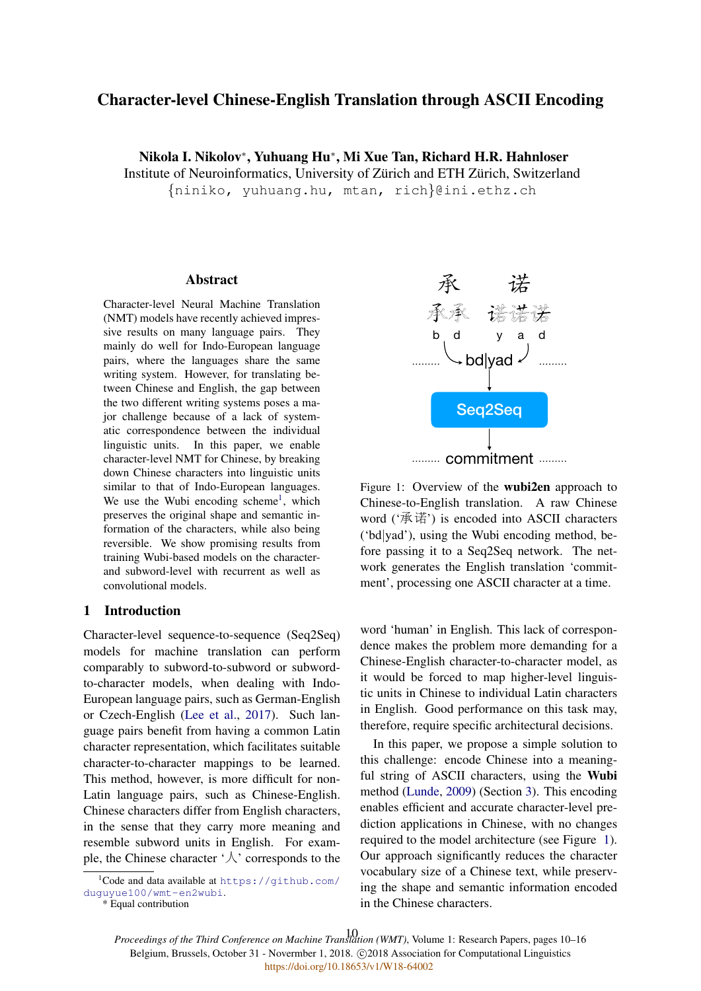# Character-level Chinese-English Translation through ASCII Encoding

Nikola I. Nikolov<sup>∗</sup> , Yuhuang Hu<sup>∗</sup> , Mi Xue Tan, Richard H.R. Hahnloser

Institute of Neuroinformatics, University of Zürich and ETH Zürich, Switzerland

{niniko, yuhuang.hu, mtan, rich}@ini.ethz.ch

#### **Abstract**

Character-level Neural Machine Translation (NMT) models have recently achieved impressive results on many language pairs. They mainly do well for Indo-European language pairs, where the languages share the same writing system. However, for translating between Chinese and English, the gap between the two different writing systems poses a major challenge because of a lack of systematic correspondence between the individual linguistic units. In this paper, we enable character-level NMT for Chinese, by breaking down Chinese characters into linguistic units similar to that of Indo-European languages. We use the Wubi encoding scheme<sup>1</sup>, which preserves the original shape and semantic information of the characters, while also being reversible. We show promising results from training Wubi-based models on the characterand subword-level with recurrent as well as convolutional models.

### 1 Introduction

Character-level sequence-to-sequence (Seq2Seq) models for machine translation can perform comparably to subword-to-subword or subwordto-character models, when dealing with Indo-European language pairs, such as German-English or Czech-English (Lee et al., 2017). Such language pairs benefit from having a common Latin character representation, which facilitates suitable character-to-character mappings to be learned. This method, however, is more difficult for non-Latin language pairs, such as Chinese-English. Chinese characters differ from English characters, in the sense that they carry more meaning and resemble subword units in English. For example, the Chinese character  $\forall$  corresponds to the

承 诺 b d y a d bd|yad ……… ……… Seq2Seq ......... commitment .........

Figure 1: Overview of the wubi2en approach to Chinese-to-English translation. A raw Chinese word ('承诺') is encoded into ASCII characters ('bd|yad'), using the Wubi encoding method, before passing it to a Seq2Seq network. The network generates the English translation 'commitment', processing one ASCII character at a time.

word 'human' in English. This lack of correspondence makes the problem more demanding for a Chinese-English character-to-character model, as it would be forced to map higher-level linguistic units in Chinese to individual Latin characters in English. Good performance on this task may, therefore, require specific architectural decisions.

In this paper, we propose a simple solution to this challenge: encode Chinese into a meaningful string of ASCII characters, using the Wubi method (Lunde, 2009) (Section 3). This encoding enables efficient and accurate character-level prediction applications in Chinese, with no changes required to the model architecture (see Figure 1). Our approach significantly reduces the character vocabulary size of a Chinese text, while preserving the shape and semantic information encoded in the Chinese characters.

*Proceedings of the Third Conference on Machine Translation (WMT)*, Volume 1: Research Papers, pages 10–16 10Belgium, Brussels, October 31 - Novermber 1, 2018. @2018 Association for Computational Linguistics <https://doi.org/10.18653/v1/W18-64002>

 $1$ Code and data available at https://qithub.com/ duguyue100/wmt-en2wubi. \* Equal contribution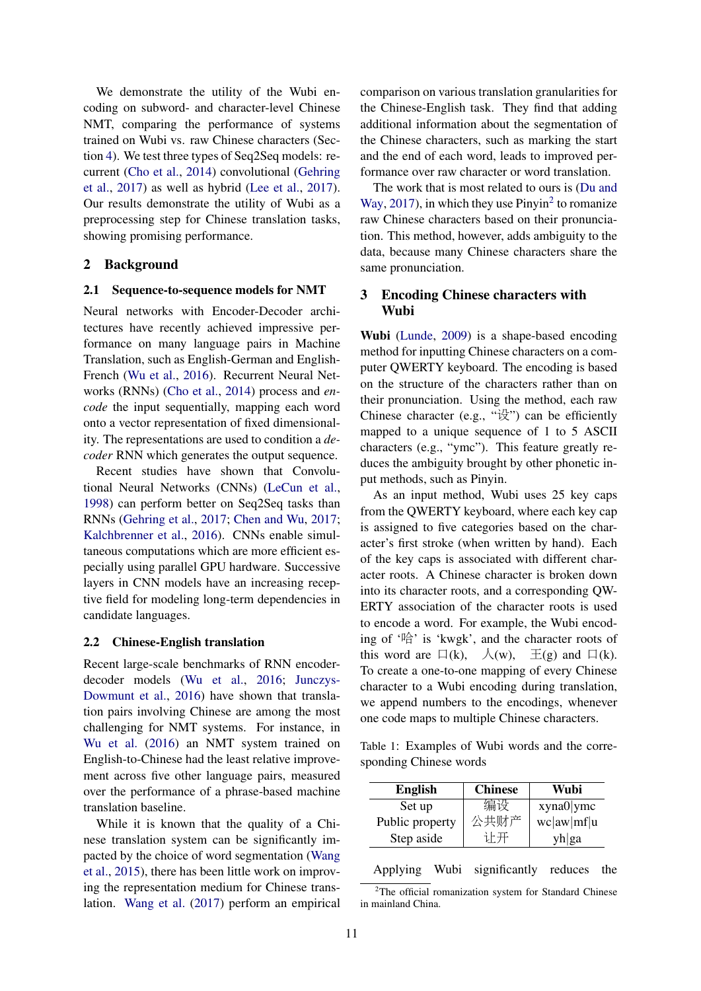We demonstrate the utility of the Wubi encoding on subword- and character-level Chinese NMT, comparing the performance of systems trained on Wubi vs. raw Chinese characters (Section 4). We test three types of Seq2Seq models: recurrent (Cho et al., 2014) convolutional (Gehring et al., 2017) as well as hybrid (Lee et al., 2017). Our results demonstrate the utility of Wubi as a preprocessing step for Chinese translation tasks, showing promising performance.

#### 2 Background

#### 2.1 Sequence-to-sequence models for NMT

Neural networks with Encoder-Decoder architectures have recently achieved impressive performance on many language pairs in Machine Translation, such as English-German and English-French (Wu et al., 2016). Recurrent Neural Networks (RNNs) (Cho et al., 2014) process and *encode* the input sequentially, mapping each word onto a vector representation of fixed dimensionality. The representations are used to condition a *decoder* RNN which generates the output sequence.

Recent studies have shown that Convolutional Neural Networks (CNNs) (LeCun et al., 1998) can perform better on Seq2Seq tasks than RNNs (Gehring et al., 2017; Chen and Wu, 2017; Kalchbrenner et al., 2016). CNNs enable simultaneous computations which are more efficient especially using parallel GPU hardware. Successive layers in CNN models have an increasing receptive field for modeling long-term dependencies in candidate languages.

#### 2.2 Chinese-English translation

Recent large-scale benchmarks of RNN encoderdecoder models (Wu et al., 2016; Junczys-Dowmunt et al., 2016) have shown that translation pairs involving Chinese are among the most challenging for NMT systems. For instance, in Wu et al. (2016) an NMT system trained on English-to-Chinese had the least relative improvement across five other language pairs, measured over the performance of a phrase-based machine translation baseline.

While it is known that the quality of a Chinese translation system can be significantly impacted by the choice of word segmentation (Wang et al., 2015), there has been little work on improving the representation medium for Chinese translation. Wang et al. (2017) perform an empirical comparison on various translation granularities for the Chinese-English task. They find that adding additional information about the segmentation of the Chinese characters, such as marking the start and the end of each word, leads to improved performance over raw character or word translation.

The work that is most related to ours is (Du and Way, 2017), in which they use  $Pinyin<sup>2</sup>$  to romanize raw Chinese characters based on their pronunciation. This method, however, adds ambiguity to the data, because many Chinese characters share the same pronunciation.

## 3 Encoding Chinese characters with Wubi

Wubi (Lunde, 2009) is a shape-based encoding method for inputting Chinese characters on a computer QWERTY keyboard. The encoding is based on the structure of the characters rather than on their pronunciation. Using the method, each raw Chinese character (e.g., " $\mathbb{R}$ ") can be efficiently mapped to a unique sequence of 1 to 5 ASCII characters (e.g., "ymc"). This feature greatly reduces the ambiguity brought by other phonetic input methods, such as Pinyin.

As an input method, Wubi uses 25 key caps from the QWERTY keyboard, where each key cap is assigned to five categories based on the character's first stroke (when written by hand). Each of the key caps is associated with different character roots. A Chinese character is broken down into its character roots, and a corresponding QW-ERTY association of the character roots is used to encode a word. For example, the Wubi encoding of '哈' is 'kwgk', and the character roots of this word are  $\Box(k)$ ,  $\Diamond(w)$ ,  $\Xi(g)$  and  $\Box(k)$ . To create a one-to-one mapping of every Chinese character to a Wubi encoding during translation, we append numbers to the encodings, whenever one code maps to multiple Chinese characters.

Table 1: Examples of Wubi words and the corresponding Chinese words

| xyna0 ymc  |
|------------|
| wc aw mf u |
| yh ga      |
|            |

Applying Wubi significantly reduces the

<sup>&</sup>lt;sup>2</sup>The official romanization system for Standard Chinese in mainland China.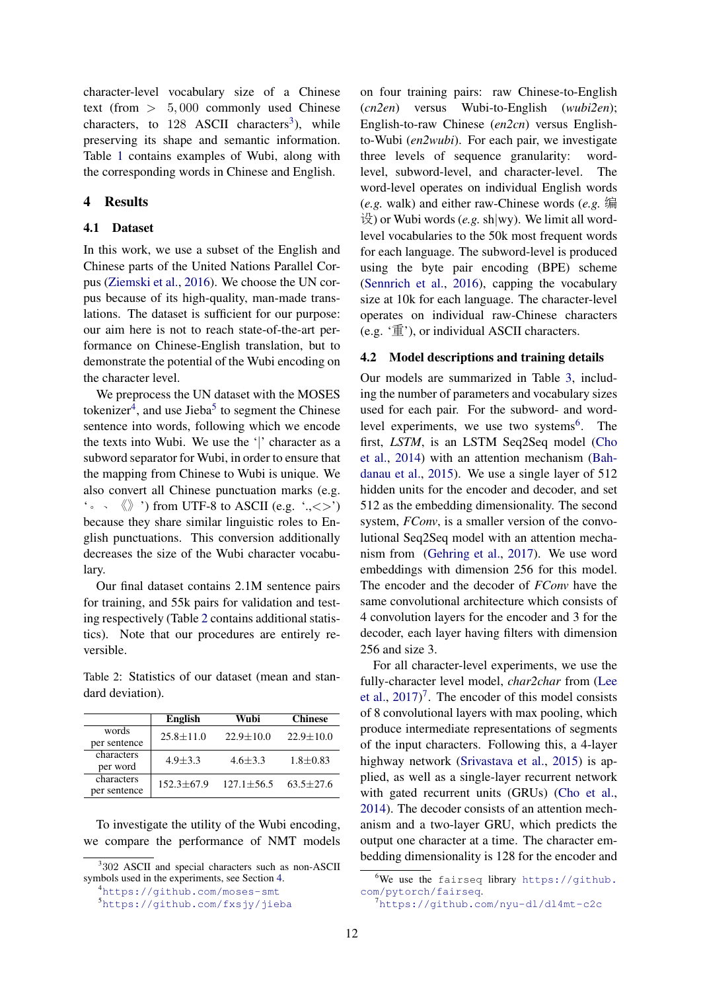character-level vocabulary size of a Chinese text (from > 5, 000 commonly used Chinese characters, to  $128$  ASCII characters<sup>3</sup>), while preserving its shape and semantic information. Table 1 contains examples of Wubi, along with the corresponding words in Chinese and English.

### 4 Results

### 4.1 Dataset

In this work, we use a subset of the English and Chinese parts of the United Nations Parallel Corpus (Ziemski et al., 2016). We choose the UN corpus because of its high-quality, man-made translations. The dataset is sufficient for our purpose: our aim here is not to reach state-of-the-art performance on Chinese-English translation, but to demonstrate the potential of the Wubi encoding on the character level.

We preprocess the UN dataset with the MOSES tokenizer<sup>4</sup>, and use Jieba<sup>5</sup> to segment the Chinese sentence into words, following which we encode the texts into Wubi. We use the '|' character as a subword separator for Wubi, in order to ensure that the mapping from Chinese to Wubi is unique. We also convert all Chinese punctuation marks (e.g.  $\cdot \cdot \cdot \cdot \cdot$   $\langle \rangle$   $\cdot$  from UTF-8 to ASCII (e.g.  $\cdot$ , < >  $\cdot$ ) because they share similar linguistic roles to English punctuations. This conversion additionally decreases the size of the Wubi character vocabulary.

Our final dataset contains 2.1M sentence pairs for training, and 55k pairs for validation and testing respectively (Table 2 contains additional statistics). Note that our procedures are entirely reversible.

Table 2: Statistics of our dataset (mean and standard deviation).

|              | <b>English</b> | Wubi            | <b>Chinese</b>  |  |
|--------------|----------------|-----------------|-----------------|--|
| words        | $25.8 + 11.0$  | $22.9 \pm 10.0$ | $22.9 \pm 10.0$ |  |
| per sentence |                |                 |                 |  |
| characters   | $4.9 + 3.3$    | $4.6 + 3.3$     | $1.8 \pm 0.83$  |  |
| per word     |                |                 |                 |  |
| characters   | $152.3 + 67.9$ | $127.1 + 56.5$  | $63.5 + 27.6$   |  |
| per sentence |                |                 |                 |  |

To investigate the utility of the Wubi encoding, we compare the performance of NMT models on four training pairs: raw Chinese-to-English (*cn2en*) versus Wubi-to-English (*wubi2en*); English-to-raw Chinese (*en2cn*) versus Englishto-Wubi (*en2wubi*). For each pair, we investigate three levels of sequence granularity: wordlevel, subword-level, and character-level. The word-level operates on individual English words (*e.g.* walk) and either raw-Chinese words (*e.g.* 编  $\mathcal{L}(\mathcal{L})$  or Wubi words (*e.g.* sh|wy). We limit all wordlevel vocabularies to the 50k most frequent words for each language. The subword-level is produced using the byte pair encoding (BPE) scheme (Sennrich et al., 2016), capping the vocabulary size at 10k for each language. The character-level operates on individual raw-Chinese characters (e.g. '重'), or individual ASCII characters.

#### 4.2 Model descriptions and training details

Our models are summarized in Table 3, including the number of parameters and vocabulary sizes used for each pair. For the subword- and wordlevel experiments, we use two systems<sup>6</sup>. The first, *LSTM*, is an LSTM Seq2Seq model (Cho et al., 2014) with an attention mechanism (Bahdanau et al., 2015). We use a single layer of 512 hidden units for the encoder and decoder, and set 512 as the embedding dimensionality. The second system, *FConv*, is a smaller version of the convolutional Seq2Seq model with an attention mechanism from (Gehring et al., 2017). We use word embeddings with dimension 256 for this model. The encoder and the decoder of *FConv* have the same convolutional architecture which consists of 4 convolution layers for the encoder and 3 for the decoder, each layer having filters with dimension 256 and size 3.

For all character-level experiments, we use the fully-character level model, *char2char* from (Lee et al., 2017) 7 . The encoder of this model consists of 8 convolutional layers with max pooling, which produce intermediate representations of segments of the input characters. Following this, a 4-layer highway network (Srivastava et al., 2015) is applied, as well as a single-layer recurrent network with gated recurrent units (GRUs) (Cho et al., 2014). The decoder consists of an attention mechanism and a two-layer GRU, which predicts the output one character at a time. The character embedding dimensionality is 128 for the encoder and

<sup>&</sup>lt;sup>3</sup>302 ASCII and special characters such as non-ASCII symbols used in the experiments, see Section 4.

<sup>4</sup>https://github.com/moses-smt

<sup>5</sup>https://github.com/fxsjy/jieba

 $^6$ We use the fairseq library https://github. com/pytorch/fairseq.

<sup>7</sup>https://github.com/nyu-dl/dl4mt-c2c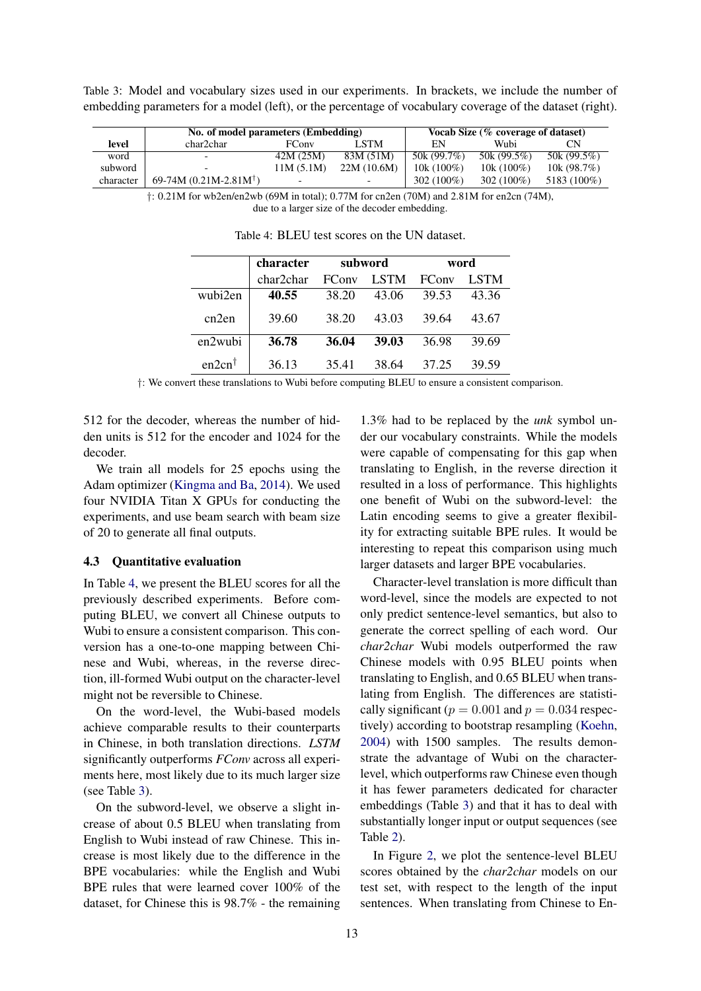Table 3: Model and vocabulary sizes used in our experiments. In brackets, we include the number of embedding parameters for a model (left), or the percentage of vocabulary coverage of the dataset (right).

|           | No. of model parameters (Embedding) |              |             |              | Vocab Size (% coverage of dataset) |             |
|-----------|-------------------------------------|--------------|-------------|--------------|------------------------------------|-------------|
| level     | char2char                           | <b>FConv</b> | LSTM.       | EN           | Wubi                               | CΝ          |
| word      | $\overline{\phantom{0}}$            | 42M (25M)    | 83M (51M)   | 50k (99.7%)  | 50k $(99.5\%)$                     | 50k (99.5%) |
| subword   |                                     | 11M (5.1M)   | 22M (10.6M) | $10k(100\%)$ | $10k(100\%)$                       | 10k(98.7%)  |
| character | $69-74M (0.21M-2.81M)$              |              |             | $302(100\%)$ | 302 $(100\%)$                      | 5183 (100%) |

†: 0.21M for wb2en/en2wb (69M in total); 0.77M for cn2en (70M) and 2.81M for en2cn (74M), due to a larger size of the decoder embedding.

|                   | character | subword       |             |              | word        |
|-------------------|-----------|---------------|-------------|--------------|-------------|
|                   | char2char | <b>FC</b> onv | <b>LSTM</b> | <b>FConv</b> | <b>LSTM</b> |
| wubi2en           | 40.55     | 38.20         | 43.06       | 39.53        | 43.36       |
| cn2en             | 39.60     | 38.20         | 43.03       | 39.64        | 43.67       |
| en2wubi           | 36.78     | 36.04         | 39.03       | 36.98        | 39.69       |
| $en2cn^{\dagger}$ | 36.13     | 35.41         | 38.64       | 37.25        | 39.59       |

Table 4: BLEU test scores on the UN dataset.

†: We convert these translations to Wubi before computing BLEU to ensure a consistent comparison.

512 for the decoder, whereas the number of hidden units is 512 for the encoder and 1024 for the decoder.

We train all models for 25 epochs using the Adam optimizer (Kingma and Ba, 2014). We used four NVIDIA Titan X GPUs for conducting the experiments, and use beam search with beam size of 20 to generate all final outputs.

### 4.3 Quantitative evaluation

In Table 4, we present the BLEU scores for all the previously described experiments. Before computing BLEU, we convert all Chinese outputs to Wubi to ensure a consistent comparison. This conversion has a one-to-one mapping between Chinese and Wubi, whereas, in the reverse direction, ill-formed Wubi output on the character-level might not be reversible to Chinese.

On the word-level, the Wubi-based models achieve comparable results to their counterparts in Chinese, in both translation directions. *LSTM* significantly outperforms *FConv* across all experiments here, most likely due to its much larger size (see Table 3).

On the subword-level, we observe a slight increase of about 0.5 BLEU when translating from English to Wubi instead of raw Chinese. This increase is most likely due to the difference in the BPE vocabularies: while the English and Wubi BPE rules that were learned cover 100% of the dataset, for Chinese this is 98.7% - the remaining

1.3% had to be replaced by the *unk* symbol under our vocabulary constraints. While the models were capable of compensating for this gap when translating to English, in the reverse direction it resulted in a loss of performance. This highlights one benefit of Wubi on the subword-level: the Latin encoding seems to give a greater flexibility for extracting suitable BPE rules. It would be interesting to repeat this comparison using much larger datasets and larger BPE vocabularies.

Character-level translation is more difficult than word-level, since the models are expected to not only predict sentence-level semantics, but also to generate the correct spelling of each word. Our *char2char* Wubi models outperformed the raw Chinese models with 0.95 BLEU points when translating to English, and 0.65 BLEU when translating from English. The differences are statistically significant ( $p = 0.001$  and  $p = 0.034$  respectively) according to bootstrap resampling (Koehn, 2004) with 1500 samples. The results demonstrate the advantage of Wubi on the characterlevel, which outperforms raw Chinese even though it has fewer parameters dedicated for character embeddings (Table 3) and that it has to deal with substantially longer input or output sequences (see Table 2).

In Figure 2, we plot the sentence-level BLEU scores obtained by the *char2char* models on our test set, with respect to the length of the input sentences. When translating from Chinese to En-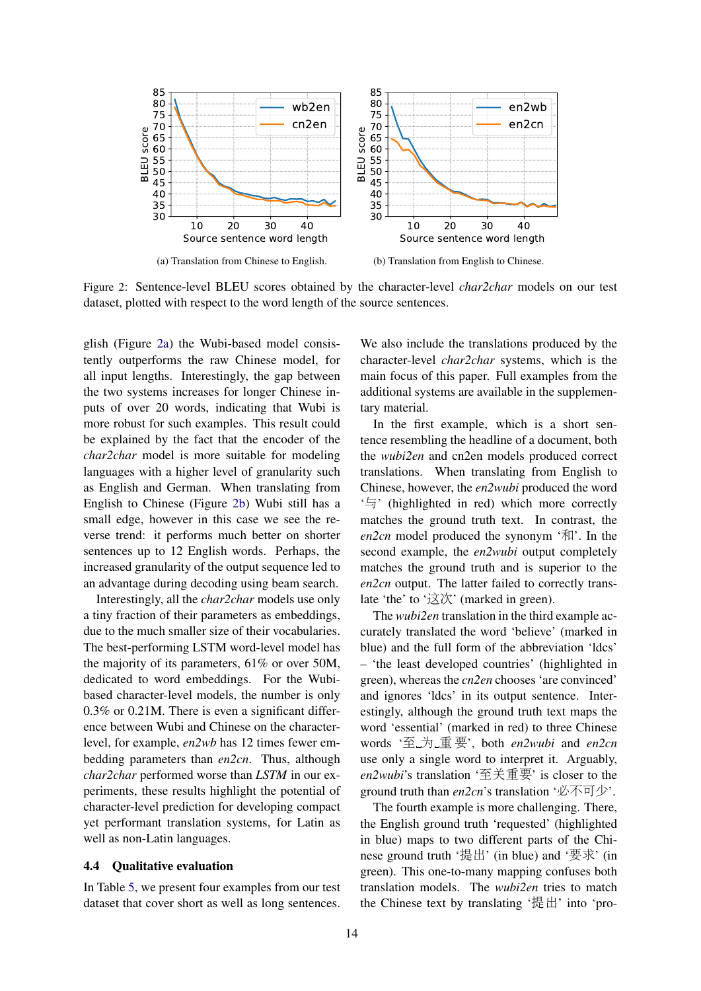

Figure 2: Sentence-level BLEU scores obtained by the character-level *char2char* models on our test dataset, plotted with respect to the word length of the source sentences.

glish (Figure 2a) the Wubi-based model consistently outperforms the raw Chinese model, for all input lengths. Interestingly, the gap between the two systems increases for longer Chinese inputs of over 20 words, indicating that Wubi is more robust for such examples. This result could be explained by the fact that the encoder of the *char2char* model is more suitable for modeling languages with a higher level of granularity such as English and German. When translating from English to Chinese (Figure 2b) Wubi still has a small edge, however in this case we see the reverse trend: it performs much better on shorter sentences up to 12 English words. Perhaps, the increased granularity of the output sequence led to an advantage during decoding using beam search.

Interestingly, all the *char2char* models use only a tiny fraction of their parameters as embeddings, due to the much smaller size of their vocabularies. The best-performing LSTM word-level model has the majority of its parameters, 61% or over 50M, dedicated to word embeddings. For the Wubibased character-level models, the number is only 0.3% or 0.21M. There is even a significant difference between Wubi and Chinese on the characterlevel, for example, *en2wb* has 12 times fewer embedding parameters than *en2cn*. Thus, although *char2char* performed worse than *LSTM* in our experiments, these results highlight the potential of character-level prediction for developing compact yet performant translation systems, for Latin as well as non-Latin languages.

#### 4.4 Qualitative evaluation

In Table 5, we present four examples from our test dataset that cover short as well as long sentences.

We also include the translations produced by the character-level *char2char* systems, which is the main focus of this paper. Full examples from the additional systems are available in the supplementary material.

In the first example, which is a short sentence resembling the headline of a document, both the *wubi2en* and cn2en models produced correct translations. When translating from English to Chinese, however, the *en2wubi* produced the word '与' (highlighted in red) which more correctly matches the ground truth text. In contrast, the en2cn model produced the synonym '和'. In the second example, the *en2wubi* output completely matches the ground truth and is superior to the *en2cn* output. The latter failed to correctly translate 'the' to '这次' (marked in green).

The *wubi2en* translation in the third example accurately translated the word 'believe' (marked in blue) and the full form of the abbreviation 'ldcs' – 'the least developed countries' (highlighted in green), whereas the *cn2en* chooses 'are convinced' and ignores 'ldcs' in its output sentence. Interestingly, although the ground truth text maps the word 'essential' (marked in red) to three Chinese words '至 <sup>为</sup> <sup>重</sup> <sup>要</sup>', both *en2wubi* and *en2cn* use only a single word to interpret it. Arguably, *en2wubi*'s translation '至关重要' is closer to the ground truth than *en2cn*'s translation '必不可少'.

The fourth example is more challenging. There, the English ground truth 'requested' (highlighted in blue) maps to two different parts of the Chinese ground truth '提出' (in blue) and '要求' (in green). This one-to-many mapping confuses both translation models. The *wubi2en* tries to match the Chinese text by translating '提出' into 'pro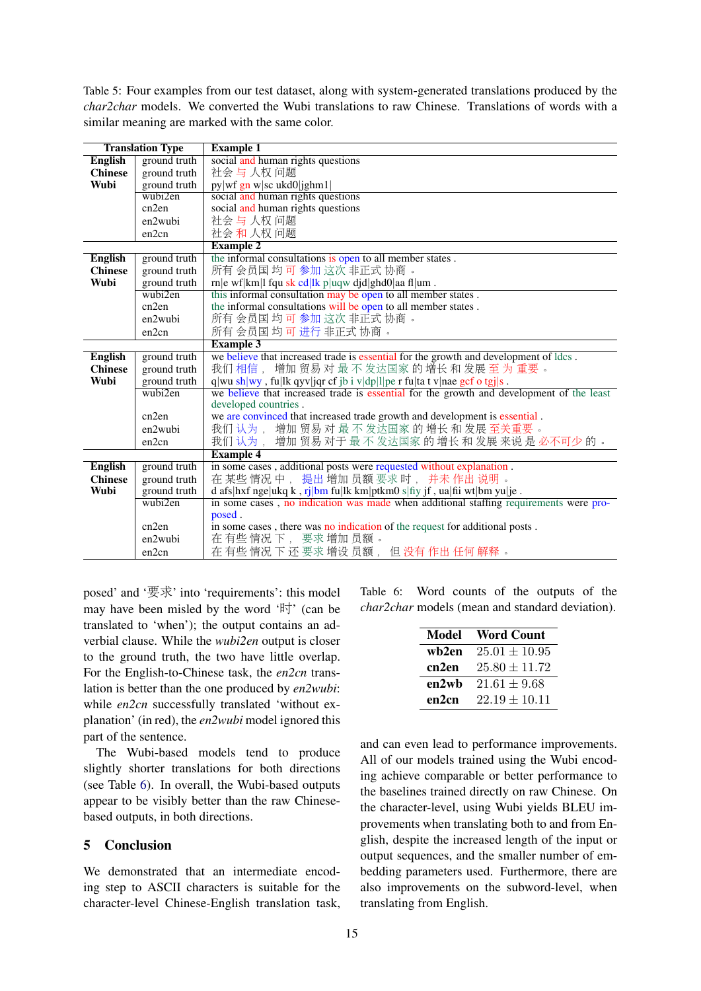Table 5: Four examples from our test dataset, along with system-generated translations produced by the *char2char* models. We converted the Wubi translations to raw Chinese. Translations of words with a similar meaning are marked with the same color.

|                | <b>Translation Type</b> | <b>Example 1</b>                                                                         |  |  |
|----------------|-------------------------|------------------------------------------------------------------------------------------|--|--|
| <b>English</b> | ground truth            | social and human rights questions                                                        |  |  |
| <b>Chinese</b> | ground truth            | 社会与人权问题                                                                                  |  |  |
| Wubi           | ground truth            | py wf gn w sc ukd0 jghm1                                                                 |  |  |
|                | wubi2en                 | social and human rights questions                                                        |  |  |
|                | cn2en                   | social and human rights questions                                                        |  |  |
|                | en2wubi                 | 社会 与 人权 问题                                                                               |  |  |
|                | en2cn                   | 社会 和 人权 问题                                                                               |  |  |
|                |                         | <b>Example 2</b>                                                                         |  |  |
| <b>English</b> | ground truth            | the informal consultations is open to all member states.                                 |  |  |
| <b>Chinese</b> | ground truth            | 所有会员国均可参加这次非正式协商。                                                                        |  |  |
| Wubi           | ground truth            | rn e wf km l fqu sk cd lk p uqw djd ghd0 aa fl um.                                       |  |  |
|                | wubi2en                 | this informal consultation may be open to all member states.                             |  |  |
|                | cn2en                   | the informal consultations will be open to all member states.                            |  |  |
|                | en2wubi                 | 所有会员国均可参加这次非正式协商。                                                                        |  |  |
|                | en2cn                   | 所有会员国均可进行非正式协商。                                                                          |  |  |
|                |                         | <b>Example 3</b>                                                                         |  |  |
| <b>English</b> | ground truth            | we believe that increased trade is essential for the growth and development of ldcs.     |  |  |
| <b>Chinese</b> | ground truth            | 增加贸易对最不发达国家的增长和发展至为重要。<br>我们相信,                                                          |  |  |
| Wubi           | ground truth            | q wu sh wy, fu lk qyv jqr cf jb i v dp l pe r fu ta t v nae gcf o tgj s.                 |  |  |
|                | wubi2en                 | we believe that increased trade is essential for the growth and development of the least |  |  |
|                |                         | developed countries.                                                                     |  |  |
|                | cn2en                   | we are convinced that increased trade growth and development is essential.               |  |  |
|                | en2wubi                 | 我们认为, 增加贸易对最不发达国家的增长和发展至关重要。                                                             |  |  |
|                | en2cn                   | 我们认为, 增加贸易对于最不发达国家的增长和发展来说是必不可少的。                                                        |  |  |
|                |                         | <b>Example 4</b>                                                                         |  |  |
| <b>English</b> | ground truth            | in some cases, additional posts were requested without explanation.                      |  |  |
| <b>Chinese</b> | ground truth            | 在某些情况中, 提出增加员额要求时, 并未作出说明。                                                               |  |  |
| Wubi           | ground truth            | d afs hxf nge ukq k, rj bm fu lk km ptkm0 s fiy jf, ua fii wt bm yu je.                  |  |  |
|                | wubi2en                 | in some cases, no indication was made when additional staffing requirements were pro-    |  |  |
|                |                         | posed.                                                                                   |  |  |
|                | cn2en                   | in some cases, there was no indication of the request for additional posts.              |  |  |
|                | en2wubi                 | 在有些情况下, 要求增加员额。                                                                          |  |  |
|                | en2cn                   | 在有些情况下还要求增设员额,但没有作出任何解释。                                                                 |  |  |

posed' and '要求' into 'requirements': this model may have been misled by the word '时' (can be translated to 'when'); the output contains an adverbial clause. While the *wubi2en* output is closer to the ground truth, the two have little overlap. For the English-to-Chinese task, the *en2cn* translation is better than the one produced by *en2wubi*: while *en2cn* successfully translated 'without explanation' (in red), the *en2wubi* model ignored this part of the sentence.

The Wubi-based models tend to produce slightly shorter translations for both directions (see Table 6). In overall, the Wubi-based outputs appear to be visibly better than the raw Chinesebased outputs, in both directions.

### 5 Conclusion

We demonstrated that an intermediate encoding step to ASCII characters is suitable for the character-level Chinese-English translation task,

Table 6: Word counts of the outputs of the *char2char* models (mean and standard deviation).

| Model | <b>Word Count</b> |
|-------|-------------------|
| wb2en | $25.01 \pm 10.95$ |
| cn2en | $25.80 \pm 11.72$ |
| en2wb | $21.61 + 9.68$    |
| en2cn | $22.19 \pm 10.11$ |

and can even lead to performance improvements. All of our models trained using the Wubi encoding achieve comparable or better performance to the baselines trained directly on raw Chinese. On the character-level, using Wubi yields BLEU improvements when translating both to and from English, despite the increased length of the input or output sequences, and the smaller number of embedding parameters used. Furthermore, there are also improvements on the subword-level, when translating from English.